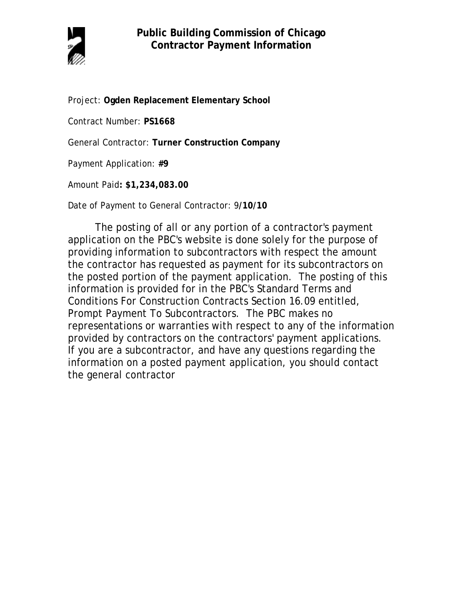

Project: **Ogden Replacement Elementary School**

Contract Number: **PS1668**

General Contractor: **Turner Construction Company**

Payment Application: **#9**

Amount Paid**: \$1,234,083.00** 

Date of Payment to General Contractor: 9**/10/10**

The posting of all or any portion of a contractor's payment application on the PBC's website is done solely for the purpose of providing information to subcontractors with respect the amount the contractor has requested as payment for its subcontractors on the posted portion of the payment application. The posting of this information is provided for in the PBC's Standard Terms and Conditions For Construction Contracts Section 16.09 entitled, Prompt Payment To Subcontractors. The PBC makes no representations or warranties with respect to any of the information provided by contractors on the contractors' payment applications. If you are a subcontractor, and have any questions regarding the information on a posted payment application, you should contact the general contractor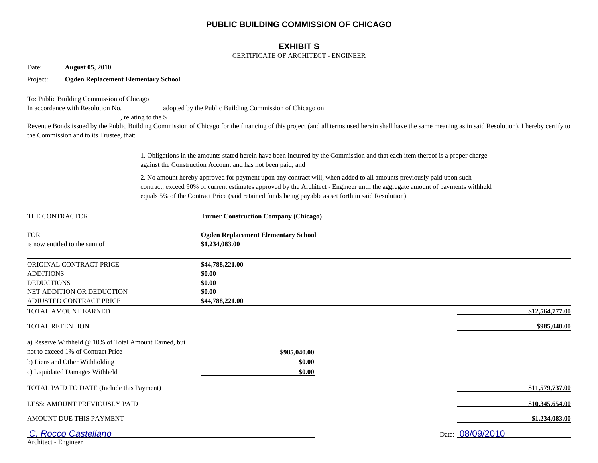## **PUBLIC BUILDING COMMISSION OF CHICAGO**

## **EXHIBIT S**

#### CERTIFICATE OF ARCHITECT - ENGINEER

| Date:                                                                                                  | <b>August 05, 2010</b>                                                                |                      |                                                                                                                                                                                                                                                                                                                                                                |                  |  |  |  |
|--------------------------------------------------------------------------------------------------------|---------------------------------------------------------------------------------------|----------------------|----------------------------------------------------------------------------------------------------------------------------------------------------------------------------------------------------------------------------------------------------------------------------------------------------------------------------------------------------------------|------------------|--|--|--|
| Project:                                                                                               | <b>Ogden Replacement Elementary School</b>                                            |                      |                                                                                                                                                                                                                                                                                                                                                                |                  |  |  |  |
| In accordance with Resolution No.                                                                      | To: Public Building Commission of Chicago<br>the Commission and to its Trustee, that: | , relating to the \$ | adopted by the Public Building Commission of Chicago on<br>Revenue Bonds issued by the Public Building Commission of Chicago for the financing of this project (and all terms used herein shall have the same meaning as in said Resolution), I hereby certify to                                                                                              |                  |  |  |  |
|                                                                                                        |                                                                                       |                      | 1. Obligations in the amounts stated herein have been incurred by the Commission and that each item thereof is a proper charge<br>against the Construction Account and has not been paid; and                                                                                                                                                                  |                  |  |  |  |
|                                                                                                        |                                                                                       |                      | 2. No amount hereby approved for payment upon any contract will, when added to all amounts previously paid upon such<br>contract, exceed 90% of current estimates approved by the Architect - Engineer until the aggregate amount of payments withheld<br>equals 5% of the Contract Price (said retained funds being payable as set forth in said Resolution). |                  |  |  |  |
| THE CONTRACTOR                                                                                         |                                                                                       |                      | <b>Turner Construction Company (Chicago)</b>                                                                                                                                                                                                                                                                                                                   |                  |  |  |  |
| <b>FOR</b><br>is now entitled to the sum of                                                            |                                                                                       |                      | <b>Ogden Replacement Elementary School</b><br>\$1,234,083.00                                                                                                                                                                                                                                                                                                   |                  |  |  |  |
| ORIGINAL CONTRACT PRICE<br><b>ADDITIONS</b><br><b>DEDUCTIONS</b><br><b>ADJUSTED CONTRACT PRICE</b>     | NET ADDITION OR DEDUCTION                                                             |                      | \$44,788,221.00<br>\$0.00<br>\$0.00<br>\$0.00<br>\$44,788,221.00                                                                                                                                                                                                                                                                                               |                  |  |  |  |
| TOTAL AMOUNT EARNED                                                                                    |                                                                                       |                      |                                                                                                                                                                                                                                                                                                                                                                | \$12,564,777.00  |  |  |  |
| <b>TOTAL RETENTION</b>                                                                                 |                                                                                       |                      |                                                                                                                                                                                                                                                                                                                                                                | \$985,040.00     |  |  |  |
| not to exceed 1% of Contract Price<br>b) Liens and Other Withholding<br>c) Liquidated Damages Withheld | a) Reserve Withheld @ 10% of Total Amount Earned, but                                 |                      | \$985,040.00<br>\$0.00<br>\$0.00                                                                                                                                                                                                                                                                                                                               |                  |  |  |  |
|                                                                                                        | TOTAL PAID TO DATE (Include this Payment)                                             |                      |                                                                                                                                                                                                                                                                                                                                                                | \$11,579,737.00  |  |  |  |
|                                                                                                        | LESS: AMOUNT PREVIOUSLY PAID                                                          |                      |                                                                                                                                                                                                                                                                                                                                                                | \$10,345,654.00  |  |  |  |
| AMOUNT DUE THIS PAYMENT                                                                                |                                                                                       |                      |                                                                                                                                                                                                                                                                                                                                                                | \$1,234,083.00   |  |  |  |
| <b>Rocco Castellano</b><br>Architect - Engineer                                                        |                                                                                       |                      |                                                                                                                                                                                                                                                                                                                                                                | Date: 08/09/2010 |  |  |  |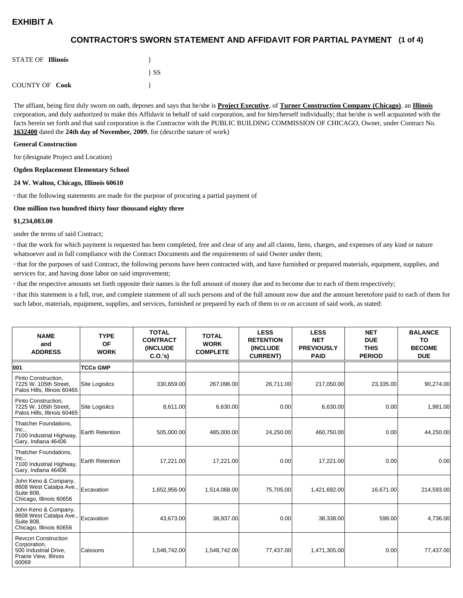## **(1 of 4) CONTRACTOR'S SWORN STATEMENT AND AFFIDAVIT FOR PARTIAL PAYMENT**

| <b>STATE OF Illinois</b> |          |
|--------------------------|----------|
|                          | $\{SS\}$ |
| <b>COUNTY OF Cook</b>    |          |

The affiant, being first duly sworn on oath, deposes and says that he/she is **Project Executive**, of **Turner Construction Company (Chicago)**, an **Illinois** corporation, and duly authorized to make this Affidavit in behalf of said corporation, and for him/herself individually; that he/she is well acquainted with the facts herein set forth and that said corporation is the Contractor with the PUBLIC BUILDING COMMISSION OF CHICAGO, Owner, under Contract No. **1632400** dated the **24th day of November, 2009**, for (describe nature of work)

#### **General Construction**

for (designate Project and Location)

#### **Ogden Replacement Elementary School**

#### **24 W. Walton, Chicago, Illinois 60610**

**·** that the following statements are made for the purpose of procuring a partial payment of

#### **One million two hundred thirty four thousand eighty three**

#### **\$1,234,083.00**

under the terms of said Contract;

**·** that the work for which payment is requested has been completed, free and clear of any and all claims, liens, charges, and expenses of any kind or nature whatsoever and in full compliance with the Contract Documents and the requirements of said Owner under them;

**·** that for the purposes of said Contract, the following persons have been contracted with, and have furnished or prepared materials, equipment, supplies, and services for, and having done labor on said improvement;

**·** that the respective amounts set forth opposite their names is the full amount of money due and to become due to each of them respectively;

**·** that this statement is a full, true, and complete statement of all such persons and of the full amount now due and the amount heretofore paid to each of them for such labor, materials, equipment, supplies, and services, furnished or prepared by each of them to or on account of said work, as stated:

| <b>NAME</b><br>and<br><b>ADDRESS</b>                                                                   | <b>TYPE</b><br><b>OF</b><br><b>WORK</b> | <b>TOTAL</b><br><b>CONTRACT</b><br><b>(INCLUDE)</b><br>C.0.'s) | <b>TOTAL</b><br><b>WORK</b><br><b>COMPLETE</b> | <b>LESS</b><br><b>RETENTION</b><br><b>(INCLUDE)</b><br><b>CURRENT)</b> | <b>LESS</b><br><b>NET</b><br><b>PREVIOUSLY</b><br><b>PAID</b> | <b>NET</b><br><b>DUE</b><br><b>THIS</b><br><b>PERIOD</b> | <b>BALANCE</b><br>TO<br><b>BECOME</b><br><b>DUE</b> |
|--------------------------------------------------------------------------------------------------------|-----------------------------------------|----------------------------------------------------------------|------------------------------------------------|------------------------------------------------------------------------|---------------------------------------------------------------|----------------------------------------------------------|-----------------------------------------------------|
| 001                                                                                                    | <b>TCCo GMP</b>                         |                                                                |                                                |                                                                        |                                                               |                                                          |                                                     |
| Pinto Construction,<br>7225 W. 105th Street.<br>Palos Hills, Illinois 60465                            | <b>Site Logisitcs</b>                   | 330,659.00                                                     | 267,096.00                                     | 26,711.00                                                              | 217,050.00                                                    | 23,335.00                                                | 90,274.00                                           |
| Pinto Construction.<br>7225 W. 105th Street,<br>Palos Hills, Illinois 60465                            | <b>Site Logisitcs</b>                   | 8,611.00                                                       | 6,630.00                                       | 0.00                                                                   | 6,630.00                                                      | 0.00                                                     | 1,981.00                                            |
| Thatcher Foundations,<br>Inc.,<br>7100 Industrial Highway,<br>Gary, Indiana 46406                      | <b>Earth Retention</b>                  | 505,000.00                                                     | 485,000.00                                     | 24,250.00                                                              | 460,750.00                                                    | 0.00                                                     | 44,250.00                                           |
| Thatcher Foundations,<br>Inc.,<br>7100 Industrial Highway,<br>Gary, Indiana 46406                      | <b>Earth Retention</b>                  | 17,221.00                                                      | 17,221.00                                      | 0.00                                                                   | 17,221.00                                                     | 0.00                                                     | 0.00                                                |
| John Keno & Company,<br>8608 West Catalpa Ave.,<br><b>Suite 808.</b><br>Chicago, Illinois 60656        | Excavation                              | 1,652,956.00                                                   | 1,514,068.00                                   | 75,705.00                                                              | 1,421,692.00                                                  | 16,671.00                                                | 214,593.00                                          |
| John Keno & Company,<br>8608 West Catalpa Ave.,<br><b>Suite 808.</b><br>Chicago, Illinois 60656        | Excavation                              | 43,673.00                                                      | 38,937.00                                      | 0.00                                                                   | 38,338.00                                                     | 599.00                                                   | 4,736.00                                            |
| <b>Revcon Construction</b><br>Corporation,<br>500 Industrial Drive,<br>Prairie View, Illinois<br>60069 | Caissons                                | 1,548,742.00                                                   | 1,548,742.00                                   | 77,437.00                                                              | 1,471,305.00                                                  | 0.00                                                     | 77,437.00                                           |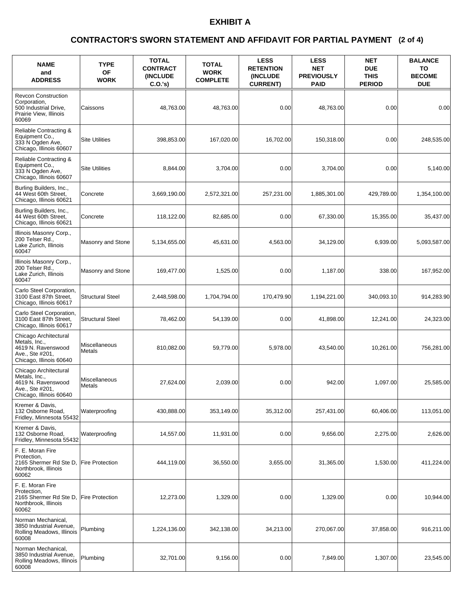#### **(2 of 4) CONTRACTOR'S SWORN STATEMENT AND AFFIDAVIT FOR PARTIAL PAYMENT**

| <b>NAME</b><br>and<br><b>ADDRESS</b>                                                                       | <b>TYPE</b><br><b>OF</b><br><b>WORK</b> | <b>TOTAL</b><br><b>CONTRACT</b><br><b>(INCLUDE)</b><br>C.O.'s | <b>TOTAL</b><br><b>WORK</b><br><b>COMPLETE</b> | <b>LESS</b><br><b>RETENTION</b><br><b>(INCLUDE</b><br><b>CURRENT)</b> | <b>LESS</b><br><b>NET</b><br><b>PREVIOUSLY</b><br><b>PAID</b> | <b>NET</b><br><b>DUE</b><br><b>THIS</b><br><b>PERIOD</b> | <b>BALANCE</b><br>ΤО<br><b>BECOME</b><br><b>DUE</b> |
|------------------------------------------------------------------------------------------------------------|-----------------------------------------|---------------------------------------------------------------|------------------------------------------------|-----------------------------------------------------------------------|---------------------------------------------------------------|----------------------------------------------------------|-----------------------------------------------------|
| <b>Revcon Construction</b><br>Corporation,<br>500 Industrial Drive,<br>Prairie View, Illinois<br>60069     | Caissons                                | 48,763.00                                                     | 48,763.00                                      | 0.00                                                                  | 48,763.00                                                     | 0.00                                                     | 0.00                                                |
| Reliable Contracting &<br>Equipment Co.,<br>333 N Ogden Ave,<br>Chicago, Illinois 60607                    | Site Utilities                          | 398,853.00                                                    | 167,020.00                                     | 16,702.00                                                             | 150,318.00                                                    | 0.00                                                     | 248,535.00                                          |
| Reliable Contracting &<br>Equipment Co.,<br>333 N Ogden Ave,<br>Chicago, Illinois 60607                    | <b>Site Utilities</b>                   | 8,844.00                                                      | 3,704.00                                       | 0.00                                                                  | 3,704.00                                                      | 0.00                                                     | 5,140.00                                            |
| Burling Builders, Inc.,<br>44 West 60th Street,<br>Chicago, Illinois 60621                                 | Concrete                                | 3,669,190.00                                                  | 2,572,321.00                                   | 257,231.00                                                            | 1,885,301.00                                                  | 429,789.00                                               | 1,354,100.00                                        |
| Burling Builders, Inc.,<br>44 West 60th Street,<br>Chicago, Illinois 60621                                 | Concrete                                | 118,122.00                                                    | 82,685.00                                      | 0.00                                                                  | 67,330.00                                                     | 15,355.00                                                | 35,437.00                                           |
| Illinois Masonry Corp.,<br>200 Telser Rd.,<br>Lake Zurich, Illinois<br>60047                               | Masonry and Stone                       | 5,134,655.00                                                  | 45,631.00                                      | 4,563.00                                                              | 34,129.00                                                     | 6,939.00                                                 | 5,093,587.00                                        |
| Illinois Masonry Corp.,<br>200 Telser Rd.,<br>Lake Zurich, Illinois<br>60047                               | Masonry and Stone                       | 169,477.00                                                    | 1,525.00                                       | 0.00                                                                  | 1,187.00                                                      | 338.00                                                   | 167,952.00                                          |
| Carlo Steel Corporation,<br>3100 East 87th Street,<br>Chicago, Illinois 60617                              | <b>Structural Steel</b>                 | 2,448,598.00                                                  | 1,704,794.00                                   | 170,479.90                                                            | 1,194,221.00                                                  | 340,093.10                                               | 914,283.90                                          |
| Carlo Steel Corporation,<br>3100 East 87th Street,<br>Chicago, Illinois 60617                              | <b>Structural Steel</b>                 | 78,462.00                                                     | 54,139.00                                      | 0.00                                                                  | 41,898.00                                                     | 12,241.00                                                | 24,323.00                                           |
| Chicago Architectural<br>Metals, Inc.,<br>4619 N. Ravenswood<br>Ave., Ste #201,<br>Chicago, Illinois 60640 | Miscellaneous<br>Metals                 | 810,082.00                                                    | 59,779.00                                      | 5,978.00                                                              | 43,540.00                                                     | 10,261.00                                                | 756,281.00                                          |
| Chicago Architectural<br>Metals, Inc.,<br>4619 N. Ravenswood<br>Ave., Ste #201,<br>Chicago, Illinois 60640 | Miscellaneous<br>Metals                 | 27,624.00                                                     | 2,039.00                                       | 0.00                                                                  | 942.00                                                        | 1.097.00                                                 | 25,585.00                                           |
| Kremer & Davis,<br>132 Osborne Road,<br>Fridley, Minnesota 55432                                           | Waterproofing                           | 430,888.00                                                    | 353,149.00                                     | 35,312.00                                                             | 257,431.00                                                    | 60,406.00                                                | 113,051.00                                          |
| Kremer & Davis,<br>132 Osborne Road,<br>Fridley, Minnesota 55432                                           | Waterproofing                           | 14,557.00                                                     | 11,931.00                                      | 0.00                                                                  | 9,656.00                                                      | 2,275.00                                                 | 2,626.00                                            |
| F. E. Moran Fire<br>Protection,<br>2165 Shermer Rd Ste D.<br>Northbrook, Illinois<br>60062                 | <b>Fire Protection</b>                  | 444,119.00                                                    | 36,550.00                                      | 3,655.00                                                              | 31,365.00                                                     | 1,530.00                                                 | 411,224.00                                          |
| F. E. Moran Fire<br>Protection,<br>2165 Shermer Rd Ste D,<br>Northbrook, Illinois<br>60062                 | <b>Fire Protection</b>                  | 12,273.00                                                     | 1,329.00                                       | 0.00                                                                  | 1,329.00                                                      | 0.00                                                     | 10,944.00                                           |
| Norman Mechanical,<br>3850 Industrial Avenue,<br>Rolling Meadows, Illinois<br>60008                        | Plumbing                                | 1,224,136.00                                                  | 342,138.00                                     | 34,213.00                                                             | 270,067.00                                                    | 37,858.00                                                | 916,211.00                                          |
| Norman Mechanical,<br>3850 Industrial Avenue,<br>Rolling Meadows, Illinois<br>60008                        | Plumbing                                | 32,701.00                                                     | 9,156.00                                       | 0.00                                                                  | 7,849.00                                                      | 1,307.00                                                 | 23,545.00                                           |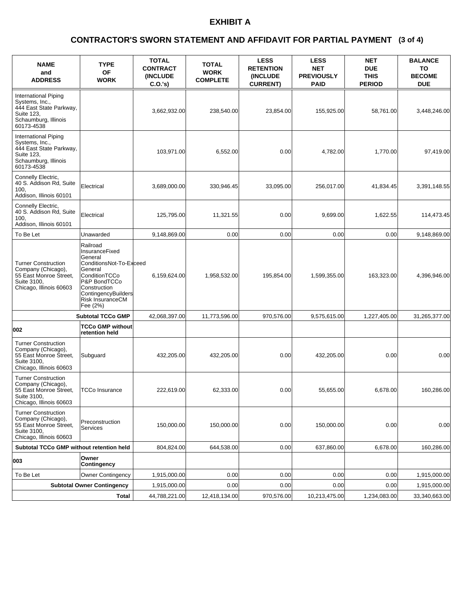#### **(3 of 4) CONTRACTOR'S SWORN STATEMENT AND AFFIDAVIT FOR PARTIAL PAYMENT**

| <b>NAME</b><br>and<br><b>ADDRESS</b>                                                                                         | <b>TYPE</b><br>ΟF<br><b>WORK</b>                                                                                                                                                           | <b>TOTAL</b><br><b>CONTRACT</b><br><b>(INCLUDE)</b><br>C.O.'s | <b>TOTAL</b><br><b>WORK</b><br><b>COMPLETE</b> | <b>LESS</b><br><b>RETENTION</b><br><b>(INCLUDE)</b><br><b>CURRENT)</b> | <b>LESS</b><br><b>NET</b><br><b>PREVIOUSLY</b><br><b>PAID</b> | NET<br><b>DUE</b><br><b>THIS</b><br><b>PERIOD</b> | <b>BALANCE</b><br>TO<br><b>BECOME</b><br><b>DUE</b> |
|------------------------------------------------------------------------------------------------------------------------------|--------------------------------------------------------------------------------------------------------------------------------------------------------------------------------------------|---------------------------------------------------------------|------------------------------------------------|------------------------------------------------------------------------|---------------------------------------------------------------|---------------------------------------------------|-----------------------------------------------------|
| <b>International Piping</b><br>Systems, Inc.,<br>444 East State Parkway,<br>Suite 123,<br>Schaumburg, Illinois<br>60173-4538 |                                                                                                                                                                                            | 3,662,932.00                                                  | 238,540.00                                     | 23,854.00                                                              | 155,925.00                                                    | 58,761.00                                         | 3,448,246.00                                        |
| International Piping<br>Systems, Inc.,<br>444 East State Parkway,<br>Suite 123,<br>Schaumburg, Illinois<br>60173-4538        |                                                                                                                                                                                            | 103,971.00                                                    | 6,552.00                                       | 0.00                                                                   | 4,782.00                                                      | 1,770.00                                          | 97,419.00                                           |
| Connelly Electric,<br>40 S. Addison Rd, Suite<br>100.<br>Addison, Illinois 60101                                             | Electrical                                                                                                                                                                                 | 3,689,000.00                                                  | 330,946.45                                     | 33,095.00                                                              | 256,017.00                                                    | 41,834.45                                         | 3,391,148.55                                        |
| Connelly Electric,<br>40 S. Addison Rd, Suite<br>100.<br>Addison, Illinois 60101                                             | Electrical                                                                                                                                                                                 | 125,795.00                                                    | 11,321.55                                      | 0.00                                                                   | 9,699.00                                                      | 1,622.55                                          | 114,473.45                                          |
| To Be Let                                                                                                                    | Unawarded                                                                                                                                                                                  | 9,148,869.00                                                  | 0.00                                           | 0.00                                                                   | 0.00                                                          | 0.00                                              | 9,148,869.00                                        |
| <b>Turner Construction</b><br>Company (Chicago),<br>55 East Monroe Street,<br>Suite 3100,<br>Chicago, Illinois 60603         | Railroad<br>InsuranceFixed<br>General<br>ConditionsNot-To-Exceed<br>General<br>ConditionTCCo<br>P&P BondTCCo<br>Construction<br>ContingencyBuilders<br><b>Risk InsuranceCM</b><br>Fee (2%) | 6,159,624.00                                                  | 1,958,532.00                                   | 195,854.00                                                             | 1,599,355.00                                                  | 163,323.00                                        | 4,396,946.00                                        |
|                                                                                                                              | <b>Subtotal TCCo GMP</b>                                                                                                                                                                   | 42,068,397.00                                                 | 11,773,596.00                                  | 970,576.00                                                             | 9,575,615.00                                                  | 1,227,405.00                                      | 31,265,377.00                                       |
| 002                                                                                                                          | <b>TCCo GMP without</b><br>retention held                                                                                                                                                  |                                                               |                                                |                                                                        |                                                               |                                                   |                                                     |
| <b>Turner Construction</b><br>Company (Chicago),<br>55 East Monroe Street,<br>Suite 3100,<br>Chicago, Illinois 60603         | Subguard                                                                                                                                                                                   | 432,205.00                                                    | 432,205.00                                     | 0.00                                                                   | 432,205.00                                                    | 0.00                                              | 0.00                                                |
| <b>Turner Construction</b><br>Company (Chicago),<br>55 East Monroe Street.<br>Suite 3100,<br>Chicago, Illinois 60603         | <b>TCCo Insurance</b>                                                                                                                                                                      | 222,619.00                                                    | 62,333.00                                      | 0.00                                                                   | 55,655.00                                                     | 6,678.00                                          | 160,286.00                                          |
| <b>Turner Construction</b><br>Company (Chicago),<br>55 East Monroe Street,<br>Suite 3100,<br>Chicago, Illinois 60603         | Preconstruction<br><b>Services</b>                                                                                                                                                         | 150,000.00                                                    | 150,000.00                                     | 0.00                                                                   | 150,000.00                                                    | 0.00                                              | 0.00                                                |
| Subtotal TCCo GMP without retention held                                                                                     |                                                                                                                                                                                            | 804,824.00                                                    | 644,538.00                                     | 0.00                                                                   | 637,860.00                                                    | 6,678.00                                          | 160,286.00                                          |
| 003                                                                                                                          | Owner<br>Contingency                                                                                                                                                                       |                                                               |                                                |                                                                        |                                                               |                                                   |                                                     |
| To Be Let                                                                                                                    | <b>Owner Contingency</b>                                                                                                                                                                   | 1,915,000.00                                                  | 0.00                                           | 0.00                                                                   | 0.00                                                          | 0.00                                              | 1,915,000.00                                        |
|                                                                                                                              | <b>Subtotal Owner Contingency</b>                                                                                                                                                          | 1,915,000.00                                                  | 0.00                                           | 0.00                                                                   | 0.00                                                          | 0.00                                              | 1,915,000.00                                        |
|                                                                                                                              | Total                                                                                                                                                                                      | 44,788,221.00                                                 | 12,418,134.00                                  | 970,576.00                                                             | 10,213,475.00                                                 | 1,234,083.00                                      | 33,340,663.00                                       |